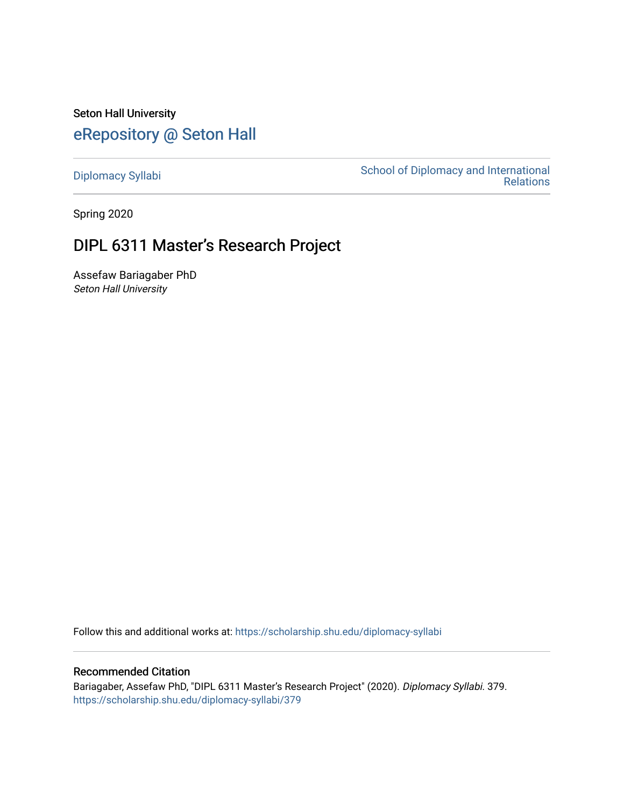Seton Hall University [eRepository @ Seton Hall](https://scholarship.shu.edu/)

[Diplomacy Syllabi](https://scholarship.shu.edu/diplomacy-syllabi) [School of Diplomacy and International](https://scholarship.shu.edu/diplomacy)  [Relations](https://scholarship.shu.edu/diplomacy) 

Spring 2020

# DIPL 6311 Master's Research Project

Assefaw Bariagaber PhD Seton Hall University

Follow this and additional works at: [https://scholarship.shu.edu/diplomacy-syllabi](https://scholarship.shu.edu/diplomacy-syllabi?utm_source=scholarship.shu.edu%2Fdiplomacy-syllabi%2F379&utm_medium=PDF&utm_campaign=PDFCoverPages) 

# Recommended Citation

Bariagaber, Assefaw PhD, "DIPL 6311 Master's Research Project" (2020). Diplomacy Syllabi. 379. [https://scholarship.shu.edu/diplomacy-syllabi/379](https://scholarship.shu.edu/diplomacy-syllabi/379?utm_source=scholarship.shu.edu%2Fdiplomacy-syllabi%2F379&utm_medium=PDF&utm_campaign=PDFCoverPages)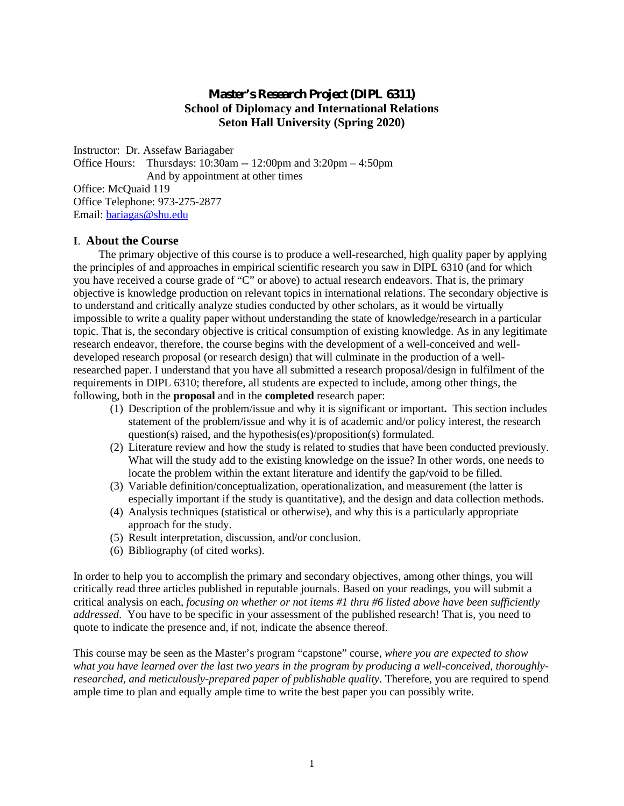# **Master's Research Project (DIPL 6311) School of Diplomacy and International Relations Seton Hall University (Spring 2020)**

Instructor: Dr. Assefaw Bariagaber Office Hours: Thursdays: 10:30am -- 12:00pm and 3:20pm – 4:50pm And by appointment at other times Office: McQuaid 119 Office Telephone: 973-275-2877 Email: bariagas@shu.edu

#### **I**. **About the Course**

The primary objective of this course is to produce a well-researched, high quality paper by applying the principles of and approaches in empirical scientific research you saw in DIPL 6310 (and for which you have received a course grade of "C" or above) to actual research endeavors. That is, the primary objective is knowledge production on relevant topics in international relations. The secondary objective is to understand and critically analyze studies conducted by other scholars, as it would be virtually impossible to write a quality paper without understanding the state of knowledge/research in a particular topic. That is, the secondary objective is critical consumption of existing knowledge. As in any legitimate research endeavor, therefore, the course begins with the development of a well-conceived and well developed research proposal (or research design) that will culminate in the production of a wellresearched paper. I understand that you have all submitted a research proposal/design in fulfilment of the requirements in DIPL 6310; therefore, all students are expected to include, among other things, the following, both in the **proposal** and in the **completed** research paper:

- (1) Description of the problem/issue and why it is significant or important**.** This section includes statement of the problem/issue and why it is of academic and/or policy interest, the research question(s) raised, and the hypothesis(es)/proposition(s) formulated.
- (2) Literature review and how the study is related to studies that have been conducted previously. What will the study add to the existing knowledge on the issue? In other words, one needs to locate the problem within the extant literature and identify the gap/void to be filled.
- (3) Variable definition/conceptualization, operationalization, and measurement (the latter is especially important if the study is quantitative), and the design and data collection methods.
- (4) Analysis techniques (statistical or otherwise), and why this is a particularly appropriate approach for the study.
- (5) Result interpretation, discussion, and/or conclusion.
- (6) Bibliography (of cited works).

In order to help you to accomplish the primary and secondary objectives, among other things, you will critically read three articles published in reputable journals. Based on your readings, you will submit a critical analysis on each, *focusing on whether or not items #1 thru #6 listed above have been sufficiently addressed*. You have to be specific in your assessment of the published research! That is, you need to quote to indicate the presence and, if not, indicate the absence thereof.

This course may be seen as the Master's program "capstone" course, *where you are expected to show what you have learned over the last two years in the program by producing a well-conceived, thoroughly researched, and meticulously-prepared paper of publishable quality*. Therefore, you are required to spend ample time to plan and equally ample time to write the best paper you can possibly write.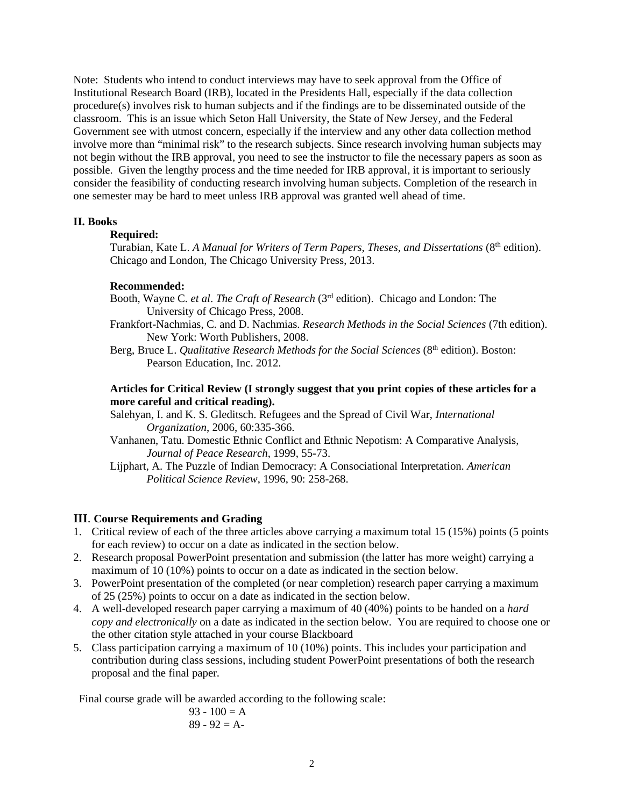Note: Students who intend to conduct interviews may have to seek approval from the Office of Institutional Research Board (IRB), located in the Presidents Hall, especially if the data collection procedure(s) involves risk to human subjects and if the findings are to be disseminated outside of the classroom. This is an issue which Seton Hall University, the State of New Jersey, and the Federal Government see with utmost concern, especially if the interview and any other data collection method involve more than "minimal risk" to the research subjects. Since research involving human subjects may not begin without the IRB approval, you need to see the instructor to file the necessary papers as soon as possible. Given the lengthy process and the time needed for IRB approval, it is important to seriously consider the feasibility of conducting research involving human subjects. Completion of the research in one semester may be hard to meet unless IRB approval was granted well ahead of time.

#### **II. Books**

#### **Required:**

Turabian, Kate L. *A Manual for Writers of Term Papers, Theses, and Dissertations* (8<sup>th</sup> edition). Chicago and London, The Chicago University Press, 2013.

#### **Recommended:**

- Booth, Wayne C. *et al*. *The Craft of Research* (3rd edition). Chicago and London: The University of Chicago Press, 2008.
- Frankfort-Nachmias, C. and D. Nachmias. *Research Methods in the Social Sciences* (7th edition). New York: Worth Publishers, 2008.
- Berg, Bruce L. *Qualitative Research Methods for the Social Sciences* (8<sup>th</sup> edition). Boston: Pearson Education, Inc. 2012.

## **Articles for Critical Review (I strongly suggest that you print copies of these articles for a more careful and critical reading).**

- Salehyan, I. and K. S. Gleditsch. Refugees and the Spread of Civil War, *International Organization*, 2006, 60:335-366.
- Vanhanen, Tatu. Domestic Ethnic Conflict and Ethnic Nepotism: A Comparative Analysis, *Journal of Peace Research*, 1999, 55-73.
- Lijphart, A. The Puzzle of Indian Democracy: A Consociational Interpretation. *American Political Science Review*, 1996, 90: 258-268.

## **III**. **Course Requirements and Grading**

- 1. Critical review of each of the three articles above carrying a maximum total 15 (15%) points (5 points for each review) to occur on a date as indicated in the section below.
- 2. Research proposal PowerPoint presentation and submission (the latter has more weight) carrying a maximum of 10 (10%) points to occur on a date as indicated in the section below.
- 3. PowerPoint presentation of the completed (or near completion) research paper carrying a maximum of 25 (25%) points to occur on a date as indicated in the section below.
- 4. A well-developed research paper carrying a maximum of 40 (40%) points to be handed on a *hard copy and electronically* on a date as indicated in the section below. You are required to choose one or the other citation style attached in your course Blackboard
- 5. Class participation carrying a maximum of 10 (10%) points. This includes your participation and contribution during class sessions, including student PowerPoint presentations of both the research proposal and the final paper.

Final course grade will be awarded according to the following scale:

$$
93 - 100 = A
$$
  
89 - 92 = A-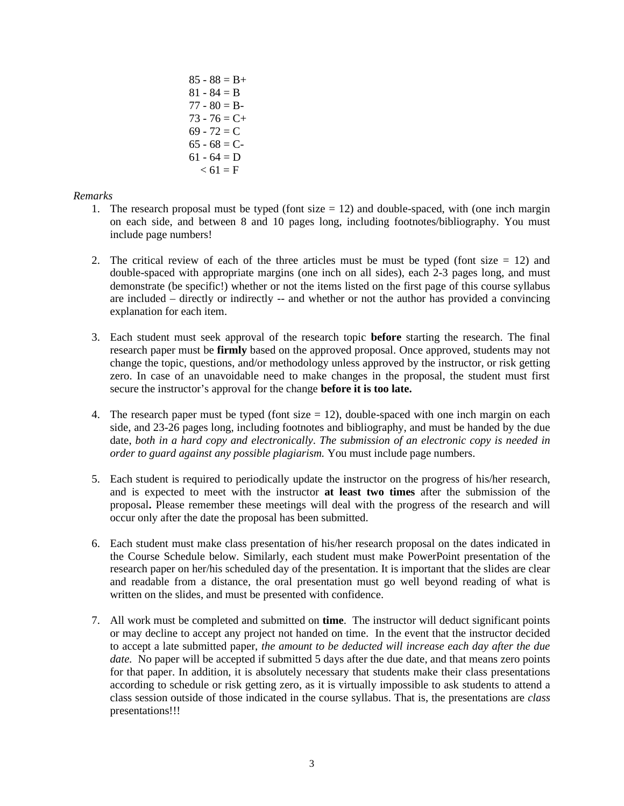$85 - 88 = B +$  $81 - 84 = B$  $77 - 80 = B$  $73 - 76 = C +$  $69 - 72 = C$  $65 - 68 = C$  $61 - 64 = D$  $< 61 = F$ 

## *Remarks*

- 1. The research proposal must be typed (font size  $= 12$ ) and double-spaced, with (one inch margin on each side, and between 8 and 10 pages long, including footnotes/bibliography. You must include page numbers!
- 2. The critical review of each of the three articles must be must be typed (font size  $= 12$ ) and double-spaced with appropriate margins (one inch on all sides), each 2-3 pages long, and must demonstrate (be specific!) whether or not the items listed on the first page of this course syllabus are included – directly or indirectly -- and whether or not the author has provided a convincing explanation for each item.
- 3. Each student must seek approval of the research topic **before** starting the research. The final research paper must be **firmly** based on the approved proposal. Once approved, students may not change the topic, questions, and/or methodology unless approved by the instructor, or risk getting zero. In case of an unavoidable need to make changes in the proposal, the student must first secure the instructor's approval for the change **before it is too late.**
- 4. The research paper must be typed (font size  $= 12$ ), double-spaced with one inch margin on each side, and 23-26 pages long, including footnotes and bibliography, and must be handed by the due date, *both in a hard copy and electronically*. *The submission of an electronic copy is needed in order to guard against any possible plagiarism.* You must include page numbers.
- 5. Each student is required to periodically update the instructor on the progress of his/her research, and is expected to meet with the instructor **at least two times** after the submission of the proposal**.** Please remember these meetings will deal with the progress of the research and will occur only after the date the proposal has been submitted.
- 6. Each student must make class presentation of his/her research proposal on the dates indicated in the Course Schedule below. Similarly, each student must make PowerPoint presentation of the research paper on her/his scheduled day of the presentation. It is important that the slides are clear and readable from a distance, the oral presentation must go well beyond reading of what is written on the slides, and must be presented with confidence.
- 7. All work must be completed and submitted on **time**. The instructor will deduct significant points or may decline to accept any project not handed on time. In the event that the instructor decided to accept a late submitted paper, *the amount to be deducted will increase each day after the due date.* No paper will be accepted if submitted 5 days after the due date, and that means zero points for that paper. In addition, it is absolutely necessary that students make their class presentations according to schedule or risk getting zero, as it is virtually impossible to ask students to attend a class session outside of those indicated in the course syllabus. That is, the presentations are *class* presentations!!!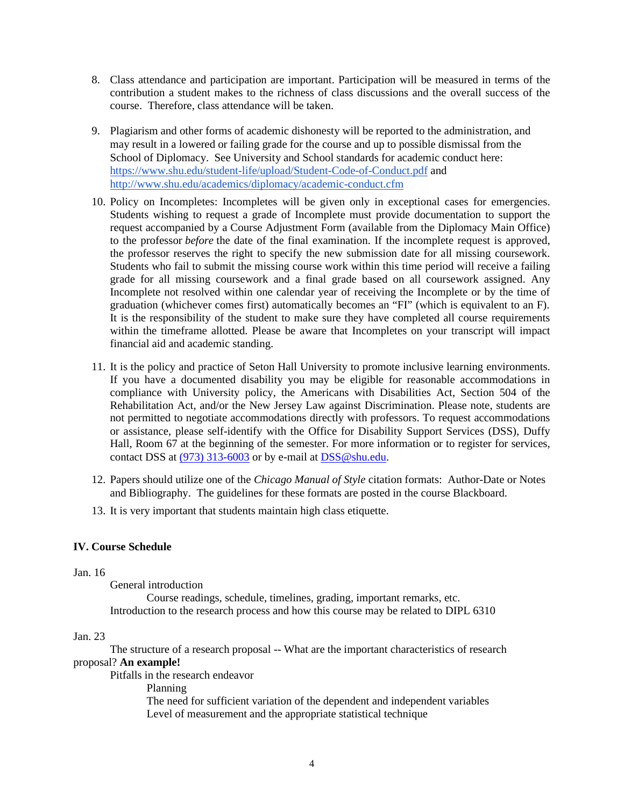- 8. Class attendance and participation are important. Participation will be measured in terms of the contribution a student makes to the richness of class discussions and the overall success of the course. Therefore, class attendance will be taken.
- 9. Plagiarism and other forms of academic dishonesty will be reported to the administration, and may result in a lowered or failing grade for the course and up to possible dismissal from the School of Diplomacy. See University and School standards for academic conduct here: https://www.shu.edu/student-life/upload/Student-Code-of-Conduct.pdf and http://www.shu.edu/academics/diplomacy/academic-conduct.cfm
- 10. Policy on Incompletes: Incompletes will be given only in exceptional cases for emergencies. Students wishing to request a grade of Incomplete must provide documentation to support the request accompanied by a Course Adjustment Form (available from the Diplomacy Main Office) to the professor *before* the date of the final examination. If the incomplete request is approved, the professor reserves the right to specify the new submission date for all missing coursework. Students who fail to submit the missing course work within this time period will receive a failing grade for all missing coursework and a final grade based on all coursework assigned. Any Incomplete not resolved within one calendar year of receiving the Incomplete or by the time of graduation (whichever comes first) automatically becomes an "FI" (which is equivalent to an F). It is the responsibility of the student to make sure they have completed all course requirements within the timeframe allotted. Please be aware that Incompletes on your transcript will impact financial aid and academic standing.
- 11. It is the policy and practice of Seton Hall University to promote inclusive learning environments. If you have a documented disability you may be eligible for reasonable accommodations in compliance with University policy, the Americans with Disabilities Act, Section 504 of the Rehabilitation Act, and/or the New Jersey Law against Discrimination. Please note, students are not permitted to negotiate accommodations directly with professors. To request accommodations or assistance, please self-identify with the Office for Disability Support Services (DSS), Duffy Hall, Room 67 at the beginning of the semester. For more information or to register for services, contact DSS at (973) 313-6003 or by e-mail at DSS@shu.edu.
- 12. Papers should utilize one of the *Chicago Manual of Style* citation formats: Author-Date or Notes and Bibliography. The guidelines for these formats are posted in the course Blackboard.
- 13. It is very important that students maintain high class etiquette.

## **IV. Course Schedule**

#### Jan. 16

General introduction Course readings, schedule, timelines, grading, important remarks, etc.

Introduction to the research process and how this course may be related to DIPL 6310

#### Jan. 23

The structure of a research proposal -- What are the important characteristics of research proposal? **An example!**

Pitfalls in the research endeavor

Planning

The need for sufficient variation of the dependent and independent variables Level of measurement and the appropriate statistical technique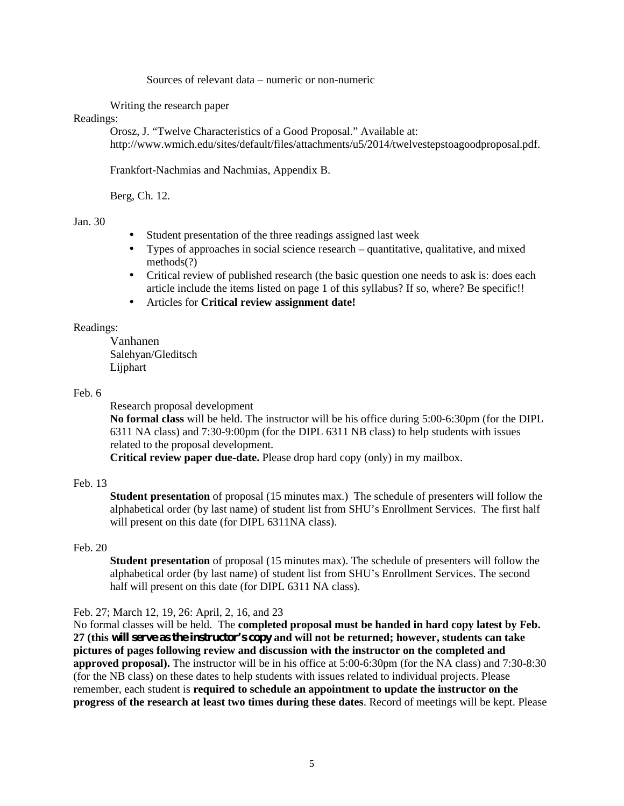Sources of relevant data – numeric or non-numeric

Writing the research paper

#### Readings:

Orosz, J. "Twelve Characteristics of a Good Proposal." Available at: http://www.wmich.edu/sites/default/files/attachments/u5/2014/twelvestepstoagoodproposal.pdf.

Frankfort-Nachmias and Nachmias, Appendix B.

Berg, Ch. 12.

#### Jan. 30

- Student presentation of the three readings assigned last week
- Types of approaches in social science research quantitative, qualitative, and mixed methods(?)
- Critical review of published research (the basic question one needs to ask is: does each article include the items listed on page 1 of this syllabus? If so, where? Be specific!!
- Articles for **Critical review assignment date!**

## Readings:

Vanhanen Salehyan/Gleditsch Lijphart

#### Feb. 6

Research proposal development

**No formal class** will be held. The instructor will be his office during 5:00-6:30pm (for the DIPL 6311 NA class) and 7:30-9:00pm (for the DIPL 6311 NB class) to help students with issues related to the proposal development.

**Critical review paper due-date.** Please drop hard copy (only) in my mailbox.

## Feb. 13

**Student presentation** of proposal (15 minutes max.) The schedule of presenters will follow the alphabetical order (by last name) of student list from SHU's Enrollment Services. The first half will present on this date (for DIPL 6311NA class).

#### Feb. 20

**Student presentation** of proposal (15 minutes max). The schedule of presenters will follow the alphabetical order (by last name) of student list from SHU's Enrollment Services. The second half will present on this date (for DIPL 6311 NA class).

#### Feb. 27; March 12, 19, 26: April, 2, 16, and 23

No formal classes will be held. The **completed proposal must be handed in hard copy latest by Feb. 27 (this will serve as the instructor's copy and will not be returned; however, students can take pictures of pages following review and discussion with the instructor on the completed and approved proposal).** The instructor will be in his office at 5:00-6:30pm (for the NA class) and 7:30-8:30 (for the NB class) on these dates to help students with issues related to individual projects. Please remember, each student is **required to schedule an appointment to update the instructor on the progress of the research at least two times during these dates**. Record of meetings will be kept. Please